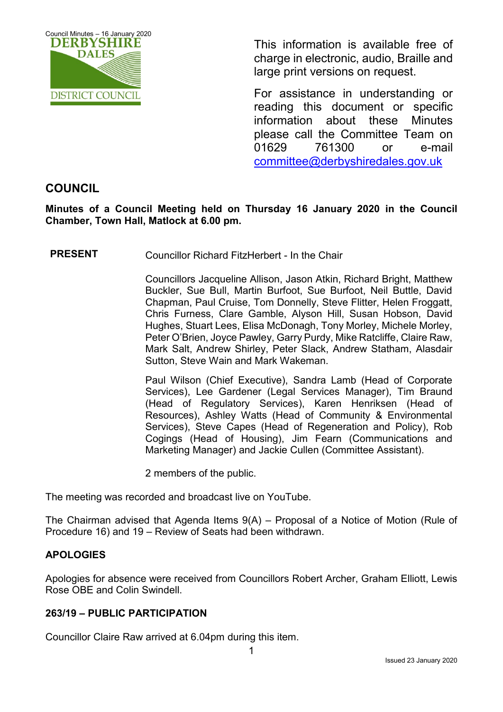

This information is available free of charge in electronic, audio, Braille and large print versions on request.

For assistance in understanding or reading this document or specific information about these Minutes please call the Committee Team on 01629 761300 or e-mail [committee@derbyshiredales.gov.uk](mailto:brian.evans@derbyshiredales.gov.uk) 

# **COUNCIL**

**Minutes of a Council Meeting held on Thursday 16 January 2020 in the Council Chamber, Town Hall, Matlock at 6.00 pm.**

**PRESENT** Councillor Richard FitzHerbert - In the Chair

Councillors Jacqueline Allison, Jason Atkin, Richard Bright, Matthew Buckler, Sue Bull, Martin Burfoot, Sue Burfoot, Neil Buttle, David Chapman, Paul Cruise, Tom Donnelly, Steve Flitter, Helen Froggatt, Chris Furness, Clare Gamble, Alyson Hill, Susan Hobson, David Hughes, Stuart Lees, Elisa McDonagh, Tony Morley, Michele Morley, Peter O'Brien, Joyce Pawley, Garry Purdy, Mike Ratcliffe, Claire Raw, Mark Salt, Andrew Shirley, Peter Slack, Andrew Statham, Alasdair Sutton, Steve Wain and Mark Wakeman.

Paul Wilson (Chief Executive), Sandra Lamb (Head of Corporate Services), Lee Gardener (Legal Services Manager), Tim Braund (Head of Regulatory Services), Karen Henriksen (Head of Resources), Ashley Watts (Head of Community & Environmental Services), Steve Capes (Head of Regeneration and Policy), Rob Cogings (Head of Housing), Jim Fearn (Communications and Marketing Manager) and Jackie Cullen (Committee Assistant).

2 members of the public.

The meeting was recorded and broadcast live on YouTube.

The Chairman advised that Agenda Items 9(A) – Proposal of a Notice of Motion (Rule of Procedure 16) and 19 – Review of Seats had been withdrawn.

# **APOLOGIES**

Apologies for absence were received from Councillors Robert Archer, Graham Elliott, Lewis Rose OBE and Colin Swindell.

### **263/19 – PUBLIC PARTICIPATION**

Councillor Claire Raw arrived at 6.04pm during this item.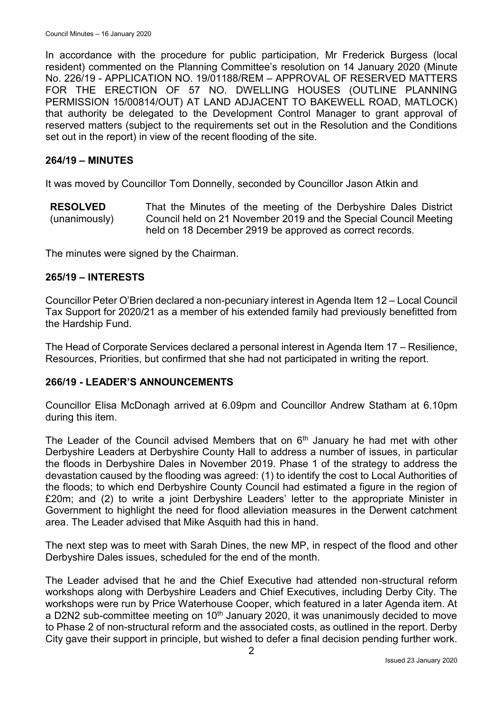In accordance with the procedure for public participation, Mr Frederick Burgess (local resident) commented on the Planning Committee's resolution on 14 January 2020 (Minute No. 226/19 - APPLICATION NO. 19/01188/REM – APPROVAL OF RESERVED MATTERS FOR THE ERECTION OF 57 NO. DWELLING HOUSES (OUTLINE PLANNING PERMISSION 15/00814/OUT) AT LAND ADJACENT TO BAKEWELL ROAD, MATLOCK) that authority be delegated to the Development Control Manager to grant approval of reserved matters (subject to the requirements set out in the Resolution and the Conditions set out in the report) in view of the recent flooding of the site.

#### **264/19 – MINUTES**

It was moved by Councillor Tom Donnelly, seconded by Councillor Jason Atkin and

**RESOLVED** (unanimously) That the Minutes of the meeting of the Derbyshire Dales District Council held on 21 November 2019 and the Special Council Meeting held on 18 December 2919 be approved as correct records.

The minutes were signed by the Chairman.

#### **265/19 – INTERESTS**

Councillor Peter O'Brien declared a non-pecuniary interest in Agenda Item 12 – Local Council Tax Support for 2020/21 as a member of his extended family had previously benefitted from the Hardship Fund.

The Head of Corporate Services declared a personal interest in Agenda Item 17 – Resilience, Resources, Priorities, but confirmed that she had not participated in writing the report.

### **266/19 - LEADER'S ANNOUNCEMENTS**

Councillor Elisa McDonagh arrived at 6.09pm and Councillor Andrew Statham at 6.10pm during this item.

The Leader of the Council advised Members that on  $6<sup>th</sup>$  January he had met with other Derbyshire Leaders at Derbyshire County Hall to address a number of issues, in particular the floods in Derbyshire Dales in November 2019. Phase 1 of the strategy to address the devastation caused by the flooding was agreed: (1) to identify the cost to Local Authorities of the floods; to which end Derbyshire County Council had estimated a figure in the region of £20m; and (2) to write a joint Derbyshire Leaders' letter to the appropriate Minister in Government to highlight the need for flood alleviation measures in the Derwent catchment area. The Leader advised that Mike Asquith had this in hand.

The next step was to meet with Sarah Dines, the new MP, in respect of the flood and other Derbyshire Dales issues, scheduled for the end of the month.

The Leader advised that he and the Chief Executive had attended non-structural reform workshops along with Derbyshire Leaders and Chief Executives, including Derby City. The workshops were run by Price Waterhouse Cooper, which featured in a later Agenda item. At a D2N2 sub-committee meeting on  $10<sup>th</sup>$  January 2020, it was unanimously decided to move to Phase 2 of non-structural reform and the associated costs, as outlined in the report. Derby City gave their support in principle, but wished to defer a final decision pending further work.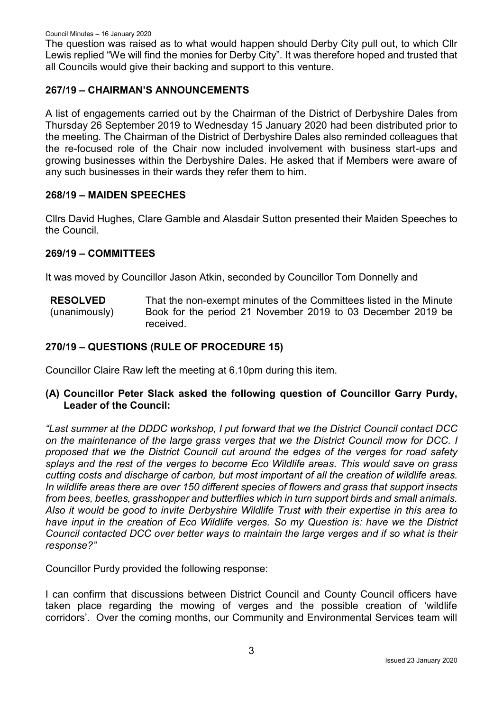The question was raised as to what would happen should Derby City pull out, to which Cllr Lewis replied "We will find the monies for Derby City". It was therefore hoped and trusted that all Councils would give their backing and support to this venture.

## **267/19 – CHAIRMAN'S ANNOUNCEMENTS**

A list of engagements carried out by the Chairman of the District of Derbyshire Dales from Thursday 26 September 2019 to Wednesday 15 January 2020 had been distributed prior to the meeting. The Chairman of the District of Derbyshire Dales also reminded colleagues that the re-focused role of the Chair now included involvement with business start-ups and growing businesses within the Derbyshire Dales. He asked that if Members were aware of any such businesses in their wards they refer them to him.

## **268/19 – MAIDEN SPEECHES**

Cllrs David Hughes, Clare Gamble and Alasdair Sutton presented their Maiden Speeches to the Council.

### **269/19 – COMMITTEES**

It was moved by Councillor Jason Atkin, seconded by Councillor Tom Donnelly and

**RESOLVED** (unanimously) That the non-exempt minutes of the Committees listed in the Minute Book for the period 21 November 2019 to 03 December 2019 be received.

## **270/19 – QUESTIONS (RULE OF PROCEDURE 15)**

Councillor Claire Raw left the meeting at 6.10pm during this item.

**(A) Councillor Peter Slack asked the following question of Councillor Garry Purdy, Leader of the Council:**

*"Last summer at the DDDC workshop, I put forward that we the District Council contact DCC on the maintenance of the large grass verges that we the District Council mow for DCC. I proposed that we the District Council cut around the edges of the verges for road safety splays and the rest of the verges to become Eco Wildlife areas. This would save on grass cutting costs and discharge of carbon, but most important of all the creation of wildlife areas. In wildlife areas there are over 150 different species of flowers and grass that support insects from bees, beetles, grasshopper and butterflies which in turn support birds and small animals. Also it would be good to invite Derbyshire Wildlife Trust with their expertise in this area to have input in the creation of Eco Wildlife verges. So my Question is: have we the District Council contacted DCC over better ways to maintain the large verges and if so what is their response?"*

Councillor Purdy provided the following response:

I can confirm that discussions between District Council and County Council officers have taken place regarding the mowing of verges and the possible creation of 'wildlife corridors'. Over the coming months, our Community and Environmental Services team will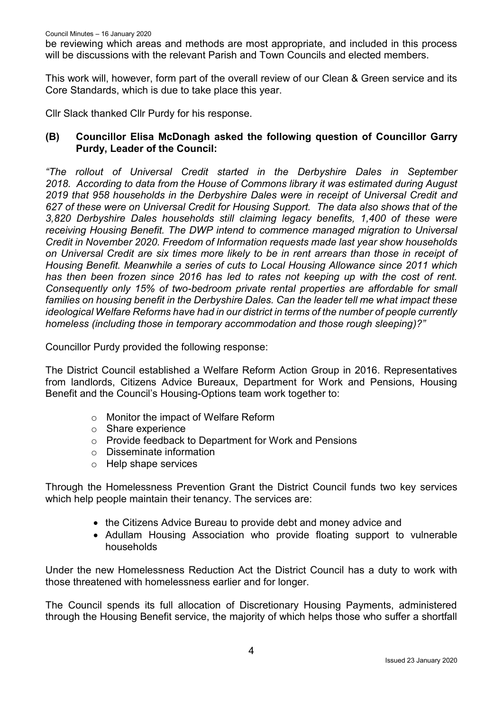be reviewing which areas and methods are most appropriate, and included in this process will be discussions with the relevant Parish and Town Councils and elected members.

This work will, however, form part of the overall review of our Clean & Green service and its Core Standards, which is due to take place this year.

Cllr Slack thanked Cllr Purdy for his response.

## **(B) Councillor Elisa McDonagh asked the following question of Councillor Garry Purdy, Leader of the Council:**

*"The rollout of Universal Credit started in the Derbyshire Dales in September 2018. According to data from the House of Commons library it was estimated during August 2019 that 958 households in the Derbyshire Dales were in receipt of Universal Credit and 627 of these were on Universal Credit for Housing Support. The data also shows that of the 3,820 Derbyshire Dales households still claiming legacy benefits, 1,400 of these were receiving Housing Benefit. The DWP intend to commence managed migration to Universal Credit in November 2020. Freedom of Information requests made last year show households on Universal Credit are six times more likely to be in rent arrears than those in receipt of Housing Benefit. Meanwhile a series of cuts to Local Housing Allowance since 2011 which has then been frozen since 2016 has led to rates not keeping up with the cost of rent. Consequently only 15% of two-bedroom private rental properties are affordable for small families on housing benefit in the Derbyshire Dales. Can the leader tell me what impact these ideological Welfare Reforms have had in our district in terms of the number of people currently homeless (including those in temporary accommodation and those rough sleeping)?"*

Councillor Purdy provided the following response:

The District Council established a Welfare Reform Action Group in 2016. Representatives from landlords, Citizens Advice Bureaux, Department for Work and Pensions, Housing Benefit and the Council's Housing-Options team work together to:

- o Monitor the impact of Welfare Reform
- o Share experience
- o Provide feedback to Department for Work and Pensions
- o Disseminate information
- o Help shape services

Through the Homelessness Prevention Grant the District Council funds two key services which help people maintain their tenancy. The services are:

- the Citizens Advice Bureau to provide debt and money advice and
- Adullam Housing Association who provide floating support to vulnerable households

Under the new Homelessness Reduction Act the District Council has a duty to work with those threatened with homelessness earlier and for longer.

The Council spends its full allocation of Discretionary Housing Payments, administered through the Housing Benefit service, the majority of which helps those who suffer a shortfall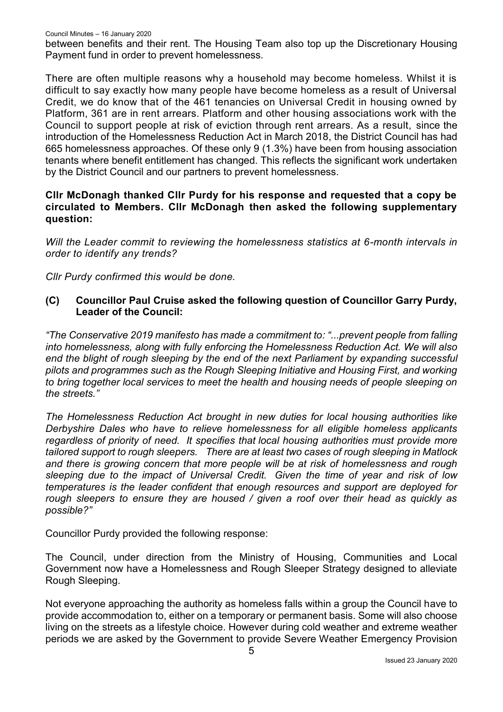between benefits and their rent. The Housing Team also top up the Discretionary Housing Payment fund in order to prevent homelessness.

There are often multiple reasons why a household may become homeless. Whilst it is difficult to say exactly how many people have become homeless as a result of Universal Credit, we do know that of the 461 tenancies on Universal Credit in housing owned by Platform, 361 are in rent arrears. Platform and other housing associations work with the Council to support people at risk of eviction through rent arrears. As a result, since the introduction of the Homelessness Reduction Act in March 2018, the District Council has had 665 homelessness approaches. Of these only 9 (1.3%) have been from housing association tenants where benefit entitlement has changed. This reflects the significant work undertaken by the District Council and our partners to prevent homelessness.

### **Cllr McDonagh thanked Cllr Purdy for his response and requested that a copy be circulated to Members. Cllr McDonagh then asked the following supplementary question:**

*Will the Leader commit to reviewing the homelessness statistics at 6-month intervals in order to identify any trends?*

*Cllr Purdy confirmed this would be done.*

## **(C) Councillor Paul Cruise asked the following question of Councillor Garry Purdy, Leader of the Council:**

*"The Conservative 2019 manifesto has made a commitment to: "...prevent people from falling into homelessness, along with fully enforcing the Homelessness Reduction Act. We will also end the blight of rough sleeping by the end of the next Parliament by expanding successful pilots and programmes such as the Rough Sleeping Initiative and Housing First, and working to bring together local services to meet the health and housing needs of people sleeping on the streets."*

*The Homelessness Reduction Act brought in new duties for local housing authorities like Derbyshire Dales who have to relieve homelessness for all eligible homeless applicants regardless of priority of need. It specifies that local housing authorities must provide more tailored support to rough sleepers. There are at least two cases of rough sleeping in Matlock and there is growing concern that more people will be at risk of homelessness and rough sleeping due to the impact of Universal Credit. Given the time of year and risk of low temperatures is the leader confident that enough resources and support are deployed for rough sleepers to ensure they are housed / given a roof over their head as quickly as possible?"*

Councillor Purdy provided the following response:

The Council, under direction from the Ministry of Housing, Communities and Local Government now have a Homelessness and Rough Sleeper Strategy designed to alleviate Rough Sleeping.

Not everyone approaching the authority as homeless falls within a group the Council have to provide accommodation to, either on a temporary or permanent basis. Some will also choose living on the streets as a lifestyle choice. However during cold weather and extreme weather periods we are asked by the Government to provide Severe Weather Emergency Provision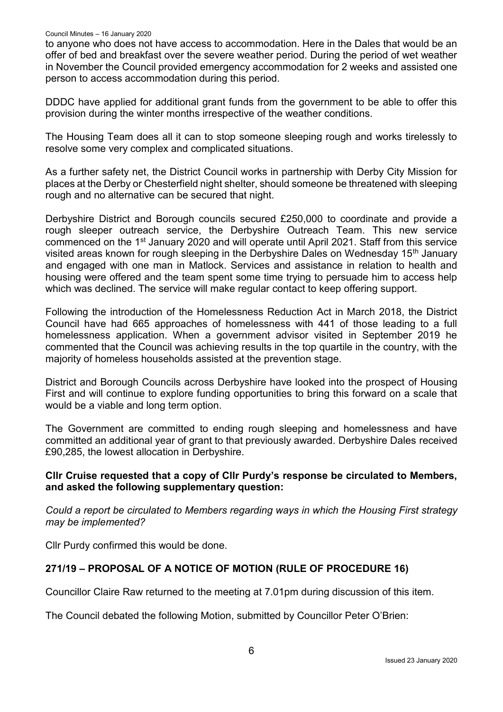to anyone who does not have access to accommodation. Here in the Dales that would be an offer of bed and breakfast over the severe weather period. During the period of wet weather in November the Council provided emergency accommodation for 2 weeks and assisted one person to access accommodation during this period.

DDDC have applied for additional grant funds from the government to be able to offer this provision during the winter months irrespective of the weather conditions.

The Housing Team does all it can to stop someone sleeping rough and works tirelessly to resolve some very complex and complicated situations.

As a further safety net, the District Council works in partnership with Derby City Mission for places at the Derby or Chesterfield night shelter, should someone be threatened with sleeping rough and no alternative can be secured that night.

Derbyshire District and Borough councils secured £250,000 to coordinate and provide a rough sleeper outreach service, the Derbyshire Outreach Team. This new service commenced on the 1<sup>st</sup> January 2020 and will operate until April 2021. Staff from this service visited areas known for rough sleeping in the Derbyshire Dales on Wednesday 15<sup>th</sup> January and engaged with one man in Matlock. Services and assistance in relation to health and housing were offered and the team spent some time trying to persuade him to access help which was declined. The service will make regular contact to keep offering support.

Following the introduction of the Homelessness Reduction Act in March 2018, the District Council have had 665 approaches of homelessness with 441 of those leading to a full homelessness application. When a government advisor visited in September 2019 he commented that the Council was achieving results in the top quartile in the country, with the majority of homeless households assisted at the prevention stage.

District and Borough Councils across Derbyshire have looked into the prospect of Housing First and will continue to explore funding opportunities to bring this forward on a scale that would be a viable and long term option.

The Government are committed to ending rough sleeping and homelessness and have committed an additional year of grant to that previously awarded. Derbyshire Dales received £90,285, the lowest allocation in Derbyshire.

### **Cllr Cruise requested that a copy of Cllr Purdy's response be circulated to Members, and asked the following supplementary question:**

*Could a report be circulated to Members regarding ways in which the Housing First strategy may be implemented?*

Cllr Purdy confirmed this would be done.

# **271/19 – PROPOSAL OF A NOTICE OF MOTION (RULE OF PROCEDURE 16)**

Councillor Claire Raw returned to the meeting at 7.01pm during discussion of this item.

The Council debated the following Motion, submitted by Councillor Peter O'Brien: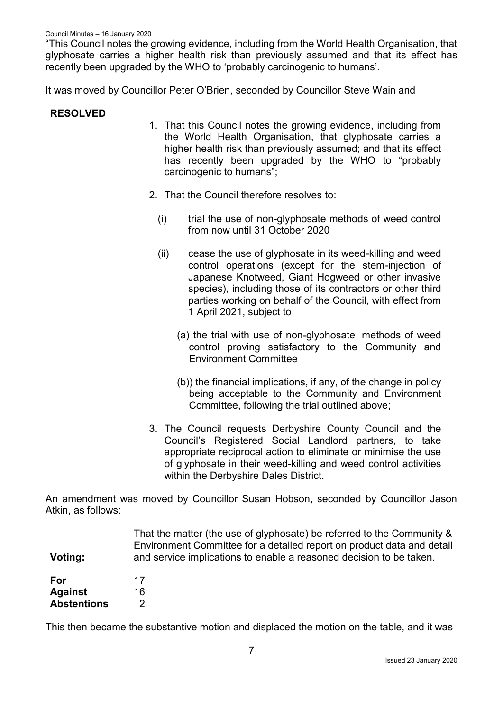"This Council notes the growing evidence, including from the World Health Organisation, that glyphosate carries a higher health risk than previously assumed and that its effect has recently been upgraded by the WHO to 'probably carcinogenic to humans'.

It was moved by Councillor Peter O'Brien, seconded by Councillor Steve Wain and

#### **RESOLVED**

- 1. That this Council notes the growing evidence, including from the World Health Organisation, that glyphosate carries a higher health risk than previously assumed; and that its effect has recently been upgraded by the WHO to "probably carcinogenic to humans";
- 2. That the Council therefore resolves to:
	- (i) trial the use of non-glyphosate methods of weed control from now until 31 October 2020
	- (ii) cease the use of glyphosate in its weed-killing and weed control operations (except for the stem-injection of Japanese Knotweed, Giant Hogweed or other invasive species), including those of its contractors or other third parties working on behalf of the Council, with effect from 1 April 2021, subject to
		- (a) the trial with use of non-glyphosate methods of weed control proving satisfactory to the Community and Environment Committee
		- (b)) the financial implications, if any, of the change in policy being acceptable to the Community and Environment Committee, following the trial outlined above;
- 3. The Council requests Derbyshire County Council and the Council's Registered Social Landlord partners, to take appropriate reciprocal action to eliminate or minimise the use of glyphosate in their weed-killing and weed control activities within the Derbyshire Dales District.

An amendment was moved by Councillor Susan Hobson, seconded by Councillor Jason Atkin, as follows:

|                    | That the matter (the use of glyphosate) be referred to the Community & |
|--------------------|------------------------------------------------------------------------|
|                    | Environment Committee for a detailed report on product data and detail |
| Voting:            | and service implications to enable a reasoned decision to be taken.    |
|                    |                                                                        |
| For                | 17                                                                     |
| <b>Against</b>     | 16                                                                     |
| <b>Abstentions</b> |                                                                        |

This then became the substantive motion and displaced the motion on the table, and it was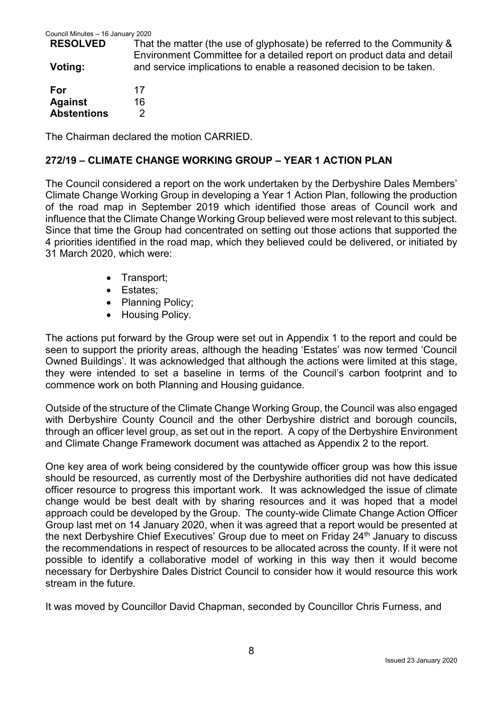| <b>RESOLVED</b> | That the matter (the use of glyphosate) be referred to the Community & |
|-----------------|------------------------------------------------------------------------|
|                 | Environment Committee for a detailed report on product data and detail |
| Voting:         | and service implications to enable a reasoned decision to be taken.    |
|                 |                                                                        |

| For                | 17 |
|--------------------|----|
| <b>Against</b>     | 16 |
| <b>Abstentions</b> | 2  |

The Chairman declared the motion CARRIED.

### **272/19 – CLIMATE CHANGE WORKING GROUP – YEAR 1 ACTION PLAN**

The Council considered a report on the work undertaken by the Derbyshire Dales Members' Climate Change Working Group in developing a Year 1 Action Plan, following the production of the road map in September 2019 which identified those areas of Council work and influence that the Climate Change Working Group believed were most relevant to this subject. Since that time the Group had concentrated on setting out those actions that supported the 4 priorities identified in the road map, which they believed could be delivered, or initiated by 31 March 2020, which were:

- Transport:
- Estates:
- Planning Policy:
- Housing Policy.

The actions put forward by the Group were set out in Appendix 1 to the report and could be seen to support the priority areas, although the heading 'Estates' was now termed 'Council Owned Buildings'. It was acknowledged that although the actions were limited at this stage, they were intended to set a baseline in terms of the Council's carbon footprint and to commence work on both Planning and Housing guidance.

Outside of the structure of the Climate Change Working Group, the Council was also engaged with Derbyshire County Council and the other Derbyshire district and borough councils, through an officer level group, as set out in the report. A copy of the Derbyshire Environment and Climate Change Framework document was attached as Appendix 2 to the report.

One key area of work being considered by the countywide officer group was how this issue should be resourced, as currently most of the Derbyshire authorities did not have dedicated officer resource to progress this important work. It was acknowledged the issue of climate change would be best dealt with by sharing resources and it was hoped that a model approach could be developed by the Group. The county-wide Climate Change Action Officer Group last met on 14 January 2020, when it was agreed that a report would be presented at the next Derbyshire Chief Executives' Group due to meet on Friday 24<sup>th</sup> January to discuss the recommendations in respect of resources to be allocated across the county. If it were not possible to identify a collaborative model of working in this way then it would become necessary for Derbyshire Dales District Council to consider how it would resource this work stream in the future.

It was moved by Councillor David Chapman, seconded by Councillor Chris Furness, and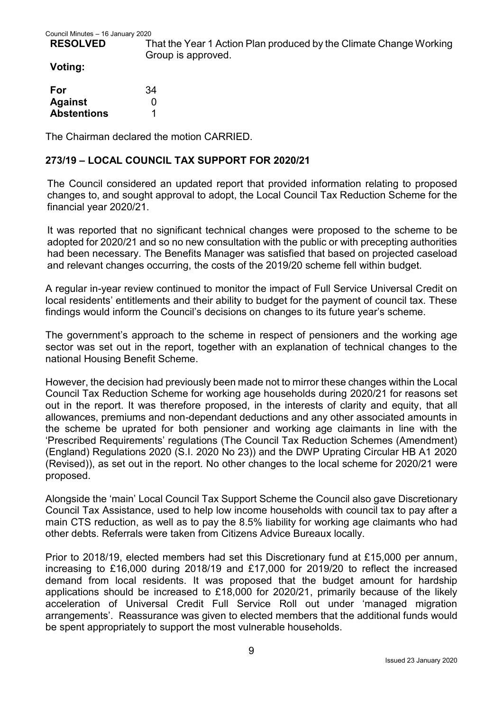#### **RESOLVED**

That the Year 1 Action Plan produced by the Climate Change Working Group is approved.

#### **Voting:**

| For                | 34 |
|--------------------|----|
| <b>Against</b>     | O  |
| <b>Abstentions</b> |    |

The Chairman declared the motion CARRIED.

## **273/19 – LOCAL COUNCIL TAX SUPPORT FOR 2020/21**

The Council considered an updated report that provided information relating to proposed changes to, and sought approval to adopt, the Local Council Tax Reduction Scheme for the financial year 2020/21.

It was reported that no significant technical changes were proposed to the scheme to be adopted for 2020/21 and so no new consultation with the public or with precepting authorities had been necessary. The Benefits Manager was satisfied that based on projected caseload and relevant changes occurring, the costs of the 2019/20 scheme fell within budget.

A regular in-year review continued to monitor the impact of Full Service Universal Credit on local residents' entitlements and their ability to budget for the payment of council tax. These findings would inform the Council's decisions on changes to its future year's scheme.

The government's approach to the scheme in respect of pensioners and the working age sector was set out in the report, together with an explanation of technical changes to the national Housing Benefit Scheme.

However, the decision had previously been made not to mirror these changes within the Local Council Tax Reduction Scheme for working age households during 2020/21 for reasons set out in the report. It was therefore proposed, in the interests of clarity and equity, that all allowances, premiums and non-dependant deductions and any other associated amounts in the scheme be uprated for both pensioner and working age claimants in line with the 'Prescribed Requirements' regulations (The Council Tax Reduction Schemes (Amendment) (England) Regulations 2020 (S.I. 2020 No 23)) and the DWP Uprating Circular HB A1 2020 (Revised)), as set out in the report. No other changes to the local scheme for 2020/21 were proposed.

Alongside the 'main' Local Council Tax Support Scheme the Council also gave Discretionary Council Tax Assistance, used to help low income households with council tax to pay after a main CTS reduction, as well as to pay the 8.5% liability for working age claimants who had other debts. Referrals were taken from Citizens Advice Bureaux locally.

Prior to 2018/19, elected members had set this Discretionary fund at £15,000 per annum, increasing to £16,000 during 2018/19 and £17,000 for 2019/20 to reflect the increased demand from local residents. It was proposed that the budget amount for hardship applications should be increased to £18,000 for 2020/21, primarily because of the likely acceleration of Universal Credit Full Service Roll out under 'managed migration arrangements'. Reassurance was given to elected members that the additional funds would be spent appropriately to support the most vulnerable households.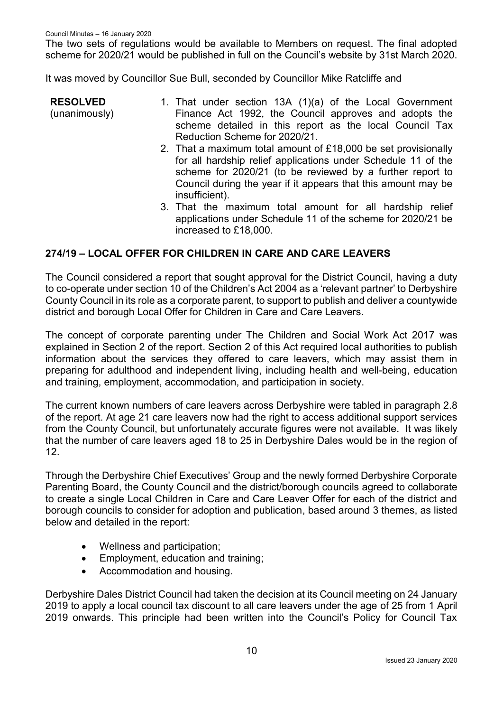The two sets of regulations would be available to Members on request. The final adopted scheme for 2020/21 would be published in full on the Council's website by 31st March 2020.

It was moved by Councillor Sue Bull, seconded by Councillor Mike Ratcliffe and

**RESOLVED** (unanimously) 1. That under section 13A (1)(a) of the Local Government Finance Act 1992, the Council approves and adopts the scheme detailed in this report as the local Council Tax Reduction Scheme for 2020/21. 2. That a maximum total amount of £18,000 be set provisionally for all hardship relief applications under Schedule 11 of the

- scheme for 2020/21 (to be reviewed by a further report to Council during the year if it appears that this amount may be insufficient).
- 3. That the maximum total amount for all hardship relief applications under Schedule 11 of the scheme for 2020/21 be increased to £18,000.

## **274/19 – LOCAL OFFER FOR CHILDREN IN CARE AND CARE LEAVERS**

The Council considered a report that sought approval for the District Council, having a duty to co-operate under section 10 of the Children's Act 2004 as a 'relevant partner' to Derbyshire County Council in its role as a corporate parent, to support to publish and deliver a countywide district and borough Local Offer for Children in Care and Care Leavers.

The concept of corporate parenting under The Children and Social Work Act 2017 was explained in Section 2 of the report. Section 2 of this Act required local authorities to publish information about the services they offered to care leavers, which may assist them in preparing for adulthood and independent living, including health and well-being, education and training, employment, accommodation, and participation in society.

The current known numbers of care leavers across Derbyshire were tabled in paragraph 2.8 of the report. At age 21 care leavers now had the right to access additional support services from the County Council, but unfortunately accurate figures were not available. It was likely that the number of care leavers aged 18 to 25 in Derbyshire Dales would be in the region of 12.

Through the Derbyshire Chief Executives' Group and the newly formed Derbyshire Corporate Parenting Board, the County Council and the district/borough councils agreed to collaborate to create a single Local Children in Care and Care Leaver Offer for each of the district and borough councils to consider for adoption and publication, based around 3 themes, as listed below and detailed in the report:

- Wellness and participation;
- Employment, education and training;
- Accommodation and housing.

Derbyshire Dales District Council had taken the decision at its Council meeting on 24 January 2019 to apply a local council tax discount to all care leavers under the age of 25 from 1 April 2019 onwards. This principle had been written into the Council's Policy for Council Tax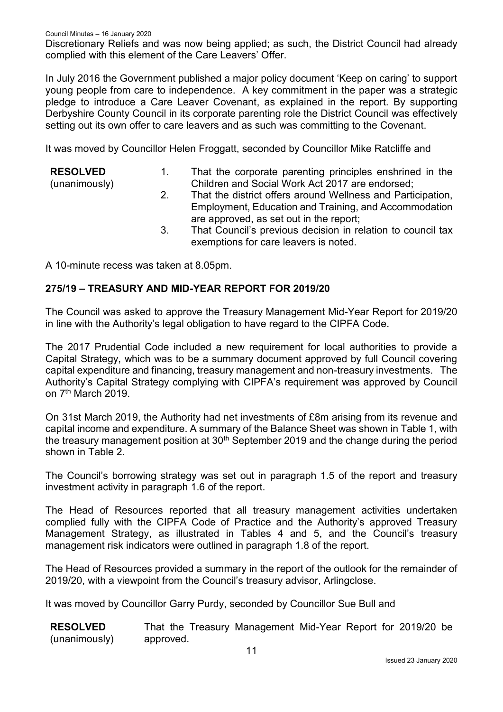Discretionary Reliefs and was now being applied; as such, the District Council had already complied with this element of the Care Leavers' Offer.

In July 2016 the Government published a major policy document 'Keep on caring' to support young people from care to independence. A key commitment in the paper was a strategic pledge to introduce a Care Leaver Covenant, as explained in the report. By supporting Derbyshire County Council in its corporate parenting role the District Council was effectively setting out its own offer to care leavers and as such was committing to the Covenant.

It was moved by Councillor Helen Froggatt, seconded by Councillor Mike Ratcliffe and

| <b>RESOLVED</b><br>(unanimously) |    | That the corporate parenting principles enshrined in the<br>Children and Social Work Act 2017 are endorsed;                                                     |
|----------------------------------|----|-----------------------------------------------------------------------------------------------------------------------------------------------------------------|
|                                  | 2. | That the district offers around Wellness and Participation,<br>Employment, Education and Training, and Accommodation<br>are approved, as set out in the report; |
|                                  | 3. | That Council's previous decision in relation to council tax<br>exemptions for care leavers is noted.                                                            |
| $\blacksquare$                   |    |                                                                                                                                                                 |

A 10-minute recess was taken at 8.05pm.

### **275/19 – TREASURY AND MID-YEAR REPORT FOR 2019/20**

The Council was asked to approve the Treasury Management Mid-Year Report for 2019/20 in line with the Authority's legal obligation to have regard to the CIPFA Code.

The 2017 Prudential Code included a new requirement for local authorities to provide a Capital Strategy, which was to be a summary document approved by full Council covering capital expenditure and financing, treasury management and non-treasury investments. The Authority's Capital Strategy complying with CIPFA's requirement was approved by Council on 7<sup>th</sup> March 2019.

On 31st March 2019, the Authority had net investments of £8m arising from its revenue and capital income and expenditure. A summary of the Balance Sheet was shown in Table 1, with the treasury management position at 30<sup>th</sup> September 2019 and the change during the period shown in Table 2.

The Council's borrowing strategy was set out in paragraph 1.5 of the report and treasury investment activity in paragraph 1.6 of the report.

The Head of Resources reported that all treasury management activities undertaken complied fully with the CIPFA Code of Practice and the Authority's approved Treasury Management Strategy, as illustrated in Tables 4 and 5, and the Council's treasury management risk indicators were outlined in paragraph 1.8 of the report.

The Head of Resources provided a summary in the report of the outlook for the remainder of 2019/20, with a viewpoint from the Council's treasury advisor, Arlingclose.

It was moved by Councillor Garry Purdy, seconded by Councillor Sue Bull and

| <b>RESOLVED</b> | That the Treasury Management Mid-Year Report for 2019/20 be |  |
|-----------------|-------------------------------------------------------------|--|
| (unanimously)   | approved.                                                   |  |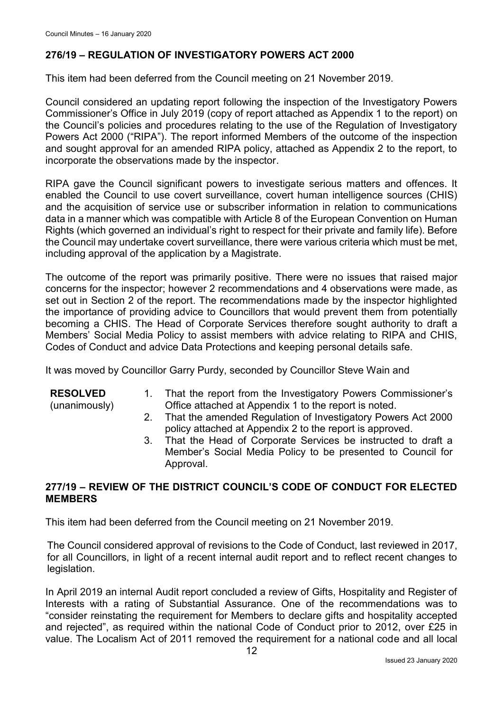# **276/19 – REGULATION OF INVESTIGATORY POWERS ACT 2000**

This item had been deferred from the Council meeting on 21 November 2019.

Council considered an updating report following the inspection of the Investigatory Powers Commissioner's Office in July 2019 (copy of report attached as Appendix 1 to the report) on the Council's policies and procedures relating to the use of the Regulation of Investigatory Powers Act 2000 ("RIPA"). The report informed Members of the outcome of the inspection and sought approval for an amended RIPA policy, attached as Appendix 2 to the report, to incorporate the observations made by the inspector.

RIPA gave the Council significant powers to investigate serious matters and offences. It enabled the Council to use covert surveillance, covert human intelligence sources (CHIS) and the acquisition of service use or subscriber information in relation to communications data in a manner which was compatible with Article 8 of the European Convention on Human Rights (which governed an individual's right to respect for their private and family life). Before the Council may undertake covert surveillance, there were various criteria which must be met, including approval of the application by a Magistrate.

The outcome of the report was primarily positive. There were no issues that raised major concerns for the inspector; however 2 recommendations and 4 observations were made, as set out in Section 2 of the report. The recommendations made by the inspector highlighted the importance of providing advice to Councillors that would prevent them from potentially becoming a CHIS. The Head of Corporate Services therefore sought authority to draft a Members' Social Media Policy to assist members with advice relating to RIPA and CHIS, Codes of Conduct and advice Data Protections and keeping personal details safe.

It was moved by Councillor Garry Purdy, seconded by Councillor Steve Wain and

#### **RESOLVED**

(unanimously)

- 1. That the report from the Investigatory Powers Commissioner's Office attached at Appendix 1 to the report is noted.
- 2. That the amended Regulation of Investigatory Powers Act 2000 policy attached at Appendix 2 to the report is approved.
- 3. That the Head of Corporate Services be instructed to draft a Member's Social Media Policy to be presented to Council for Approval.

### **277/19 – REVIEW OF THE DISTRICT COUNCIL'S CODE OF CONDUCT FOR ELECTED MEMBERS**

This item had been deferred from the Council meeting on 21 November 2019.

The Council considered approval of revisions to the Code of Conduct, last reviewed in 2017, for all Councillors, in light of a recent internal audit report and to reflect recent changes to legislation.

In April 2019 an internal Audit report concluded a review of Gifts, Hospitality and Register of Interests with a rating of Substantial Assurance. One of the recommendations was to "consider reinstating the requirement for Members to declare gifts and hospitality accepted and rejected", as required within the national Code of Conduct prior to 2012, over £25 in value. The Localism Act of 2011 removed the requirement for a national code and all local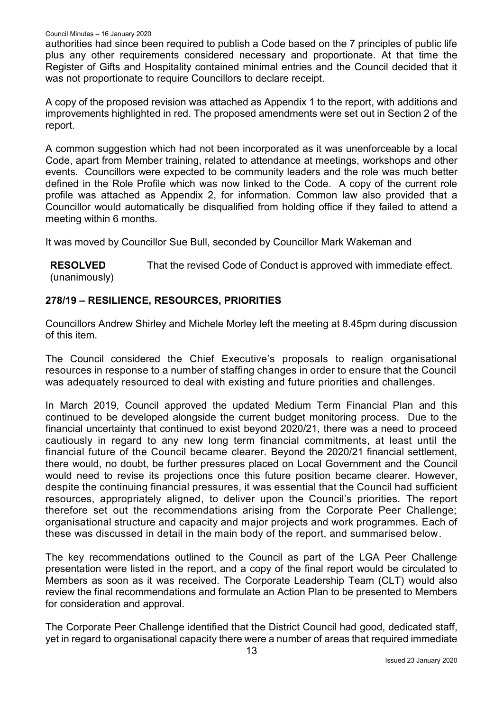authorities had since been required to publish a Code based on the 7 principles of public life plus any other requirements considered necessary and proportionate. At that time the Register of Gifts and Hospitality contained minimal entries and the Council decided that it was not proportionate to require Councillors to declare receipt.

A copy of the proposed revision was attached as Appendix 1 to the report, with additions and improvements highlighted in red. The proposed amendments were set out in Section 2 of the report.

A common suggestion which had not been incorporated as it was unenforceable by a local Code, apart from Member training, related to attendance at meetings, workshops and other events. Councillors were expected to be community leaders and the role was much better defined in the Role Profile which was now linked to the Code. A copy of the current role profile was attached as Appendix 2, for information. Common law also provided that a Councillor would automatically be disqualified from holding office if they failed to attend a meeting within 6 months.

It was moved by Councillor Sue Bull, seconded by Councillor Mark Wakeman and

**RESOLVED** (unanimously) That the revised Code of Conduct is approved with immediate effect.

# **278/19 – RESILIENCE, RESOURCES, PRIORITIES**

Councillors Andrew Shirley and Michele Morley left the meeting at 8.45pm during discussion of this item.

The Council considered the Chief Executive's proposals to realign organisational resources in response to a number of staffing changes in order to ensure that the Council was adequately resourced to deal with existing and future priorities and challenges.

In March 2019, Council approved the updated Medium Term Financial Plan and this continued to be developed alongside the current budget monitoring process. Due to the financial uncertainty that continued to exist beyond 2020/21, there was a need to proceed cautiously in regard to any new long term financial commitments, at least until the financial future of the Council became clearer. Beyond the 2020/21 financial settlement, there would, no doubt, be further pressures placed on Local Government and the Council would need to revise its projections once this future position became clearer. However, despite the continuing financial pressures, it was essential that the Council had sufficient resources, appropriately aligned, to deliver upon the Council's priorities. The report therefore set out the recommendations arising from the Corporate Peer Challenge; organisational structure and capacity and major projects and work programmes. Each of these was discussed in detail in the main body of the report, and summarised below.

The key recommendations outlined to the Council as part of the LGA Peer Challenge presentation were listed in the report, and a copy of the final report would be circulated to Members as soon as it was received. The Corporate Leadership Team (CLT) would also review the final recommendations and formulate an Action Plan to be presented to Members for consideration and approval.

The Corporate Peer Challenge identified that the District Council had good, dedicated staff, yet in regard to organisational capacity there were a number of areas that required immediate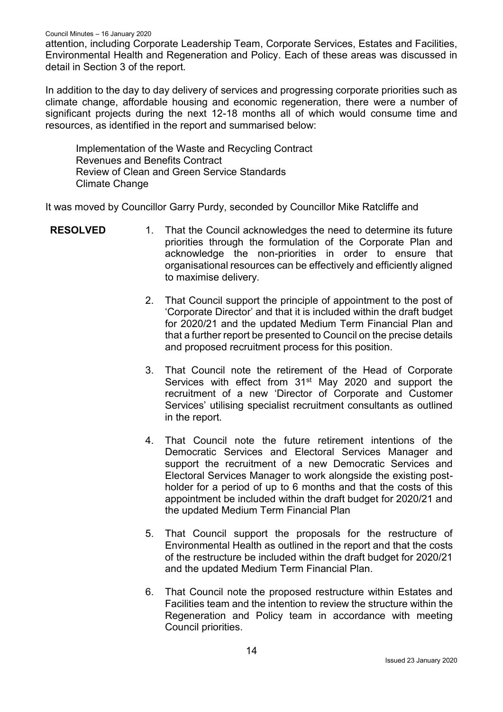attention, including Corporate Leadership Team, Corporate Services, Estates and Facilities, Environmental Health and Regeneration and Policy. Each of these areas was discussed in detail in Section 3 of the report.

In addition to the day to day delivery of services and progressing corporate priorities such as climate change, affordable housing and economic regeneration, there were a number of significant projects during the next 12-18 months all of which would consume time and resources, as identified in the report and summarised below:

Implementation of the Waste and Recycling Contract Revenues and Benefits Contract Review of Clean and Green Service Standards Climate Change

It was moved by Councillor Garry Purdy, seconded by Councillor Mike Ratcliffe and

- **RESOLVED** 1. That the Council acknowledges the need to determine its future priorities through the formulation of the Corporate Plan and acknowledge the non-priorities in order to ensure that organisational resources can be effectively and efficiently aligned to maximise delivery.
	- 2. That Council support the principle of appointment to the post of 'Corporate Director' and that it is included within the draft budget for 2020/21 and the updated Medium Term Financial Plan and that a further report be presented to Council on the precise details and proposed recruitment process for this position.
	- 3. That Council note the retirement of the Head of Corporate Services with effect from 31<sup>st</sup> May 2020 and support the recruitment of a new 'Director of Corporate and Customer Services' utilising specialist recruitment consultants as outlined in the report.
	- 4. That Council note the future retirement intentions of the Democratic Services and Electoral Services Manager and support the recruitment of a new Democratic Services and Electoral Services Manager to work alongside the existing postholder for a period of up to 6 months and that the costs of this appointment be included within the draft budget for 2020/21 and the updated Medium Term Financial Plan
	- 5. That Council support the proposals for the restructure of Environmental Health as outlined in the report and that the costs of the restructure be included within the draft budget for 2020/21 and the updated Medium Term Financial Plan.
	- 6. That Council note the proposed restructure within Estates and Facilities team and the intention to review the structure within the Regeneration and Policy team in accordance with meeting Council priorities.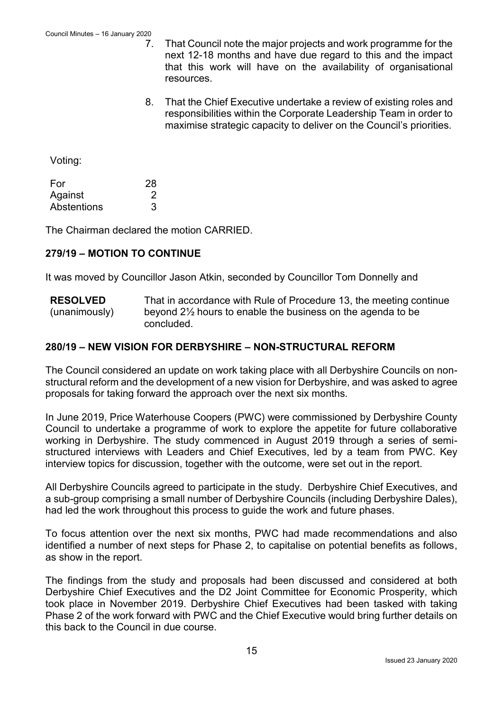- 7. That Council note the major projects and work programme for the next 12-18 months and have due regard to this and the impact that this work will have on the availability of organisational resources.
- 8. That the Chief Executive undertake a review of existing roles and responsibilities within the Corporate Leadership Team in order to maximise strategic capacity to deliver on the Council's priorities.

Voting:

| For         | 28 |
|-------------|----|
| Against     |    |
| Abstentions |    |

The Chairman declared the motion CARRIED.

### **279/19 – MOTION TO CONTINUE**

It was moved by Councillor Jason Atkin, seconded by Councillor Tom Donnelly and

**RESOLVED** (unanimously) That in accordance with Rule of Procedure 13, the meeting continue beyond 2½ hours to enable the business on the agenda to be concluded.

### **280/19 – NEW VISION FOR DERBYSHIRE – NON-STRUCTURAL REFORM**

The Council considered an update on work taking place with all Derbyshire Councils on nonstructural reform and the development of a new vision for Derbyshire, and was asked to agree proposals for taking forward the approach over the next six months.

In June 2019, Price Waterhouse Coopers (PWC) were commissioned by Derbyshire County Council to undertake a programme of work to explore the appetite for future collaborative working in Derbyshire. The study commenced in August 2019 through a series of semistructured interviews with Leaders and Chief Executives, led by a team from PWC. Key interview topics for discussion, together with the outcome, were set out in the report.

All Derbyshire Councils agreed to participate in the study. Derbyshire Chief Executives, and a sub-group comprising a small number of Derbyshire Councils (including Derbyshire Dales), had led the work throughout this process to guide the work and future phases.

To focus attention over the next six months, PWC had made recommendations and also identified a number of next steps for Phase 2, to capitalise on potential benefits as follows, as show in the report.

The findings from the study and proposals had been discussed and considered at both Derbyshire Chief Executives and the D2 Joint Committee for Economic Prosperity, which took place in November 2019. Derbyshire Chief Executives had been tasked with taking Phase 2 of the work forward with PWC and the Chief Executive would bring further details on this back to the Council in due course.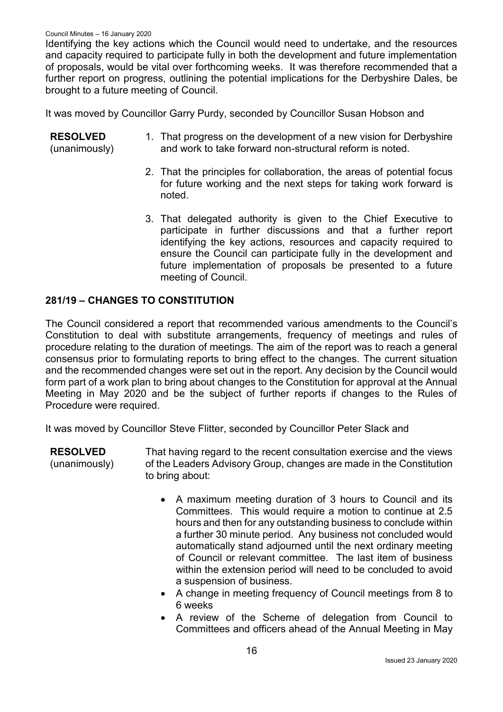Identifying the key actions which the Council would need to undertake, and the resources and capacity required to participate fully in both the development and future implementation of proposals, would be vital over forthcoming weeks. It was therefore recommended that a further report on progress, outlining the potential implications for the Derbyshire Dales, be brought to a future meeting of Council.

It was moved by Councillor Garry Purdy, seconded by Councillor Susan Hobson and

| <b>RESOLVED</b> | 1. That progress on the development of a new vision for Derbyshire |
|-----------------|--------------------------------------------------------------------|
| (unanimously)   | and work to take forward non-structural reform is noted.           |

- 2. That the principles for collaboration, the areas of potential focus for future working and the next steps for taking work forward is noted.
- 3. That delegated authority is given to the Chief Executive to participate in further discussions and that a further report identifying the key actions, resources and capacity required to ensure the Council can participate fully in the development and future implementation of proposals be presented to a future meeting of Council.

### **281/19 – CHANGES TO CONSTITUTION**

The Council considered a report that recommended various amendments to the Council's Constitution to deal with substitute arrangements, frequency of meetings and rules of procedure relating to the duration of meetings. The aim of the report was to reach a general consensus prior to formulating reports to bring effect to the changes. The current situation and the recommended changes were set out in the report. Any decision by the Council would form part of a work plan to bring about changes to the Constitution for approval at the Annual Meeting in May 2020 and be the subject of further reports if changes to the Rules of Procedure were required.

It was moved by Councillor Steve Flitter, seconded by Councillor Peter Slack and

**RESOLVED** (unanimously) That having regard to the recent consultation exercise and the views of the Leaders Advisory Group, changes are made in the Constitution to bring about:

- A maximum meeting duration of 3 hours to Council and its Committees. This would require a motion to continue at 2.5 hours and then for any outstanding business to conclude within a further 30 minute period. Any business not concluded would automatically stand adjourned until the next ordinary meeting of Council or relevant committee. The last item of business within the extension period will need to be concluded to avoid a suspension of business.
- A change in meeting frequency of Council meetings from 8 to 6 weeks
- A review of the Scheme of delegation from Council to Committees and officers ahead of the Annual Meeting in May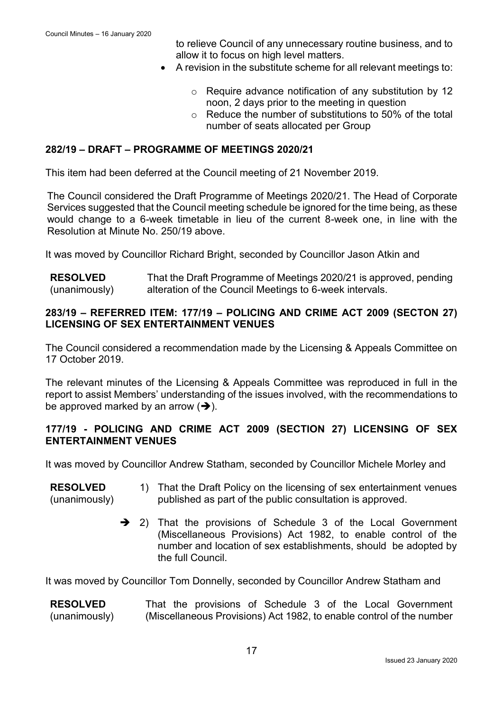to relieve Council of any unnecessary routine business, and to allow it to focus on high level matters.

- A revision in the substitute scheme for all relevant meetings to:
	- o Require advance notification of any substitution by 12 noon, 2 days prior to the meeting in question
	- $\circ$  Reduce the number of substitutions to 50% of the total number of seats allocated per Group

### **282/19 – DRAFT – PROGRAMME OF MEETINGS 2020/21**

This item had been deferred at the Council meeting of 21 November 2019.

The Council considered the Draft Programme of Meetings 2020/21. The Head of Corporate Services suggested that the Council meeting schedule be ignored for the time being, as these would change to a 6-week timetable in lieu of the current 8-week one, in line with the Resolution at Minute No. 250/19 above.

It was moved by Councillor Richard Bright, seconded by Councillor Jason Atkin and

**RESOLVED** (unanimously) That the Draft Programme of Meetings 2020/21 is approved, pending alteration of the Council Meetings to 6-week intervals.

### **283/19 – REFERRED ITEM: 177/19 – POLICING AND CRIME ACT 2009 (SECTON 27) LICENSING OF SEX ENTERTAINMENT VENUES**

The Council considered a recommendation made by the Licensing & Appeals Committee on 17 October 2019.

The relevant minutes of the Licensing & Appeals Committee was reproduced in full in the report to assist Members' understanding of the issues involved, with the recommendations to be approved marked by an arrow  $(\rightarrow)$ .

### **177/19 - POLICING AND CRIME ACT 2009 (SECTION 27) LICENSING OF SEX ENTERTAINMENT VENUES**

It was moved by Councillor Andrew Statham, seconded by Councillor Michele Morley and

| <b>RESOLVED</b> | 1) That the Draft Policy on the licensing of sex entertainment venues |
|-----------------|-----------------------------------------------------------------------|
| (unanimously)   | published as part of the public consultation is approved.             |

→ 2) That the provisions of Schedule 3 of the Local Government (Miscellaneous Provisions) Act 1982, to enable control of the number and location of sex establishments, should be adopted by the full Council.

It was moved by Councillor Tom Donnelly, seconded by Councillor Andrew Statham and

**RESOLVED** (unanimously) That the provisions of Schedule 3 of the Local Government (Miscellaneous Provisions) Act 1982, to enable control of the number